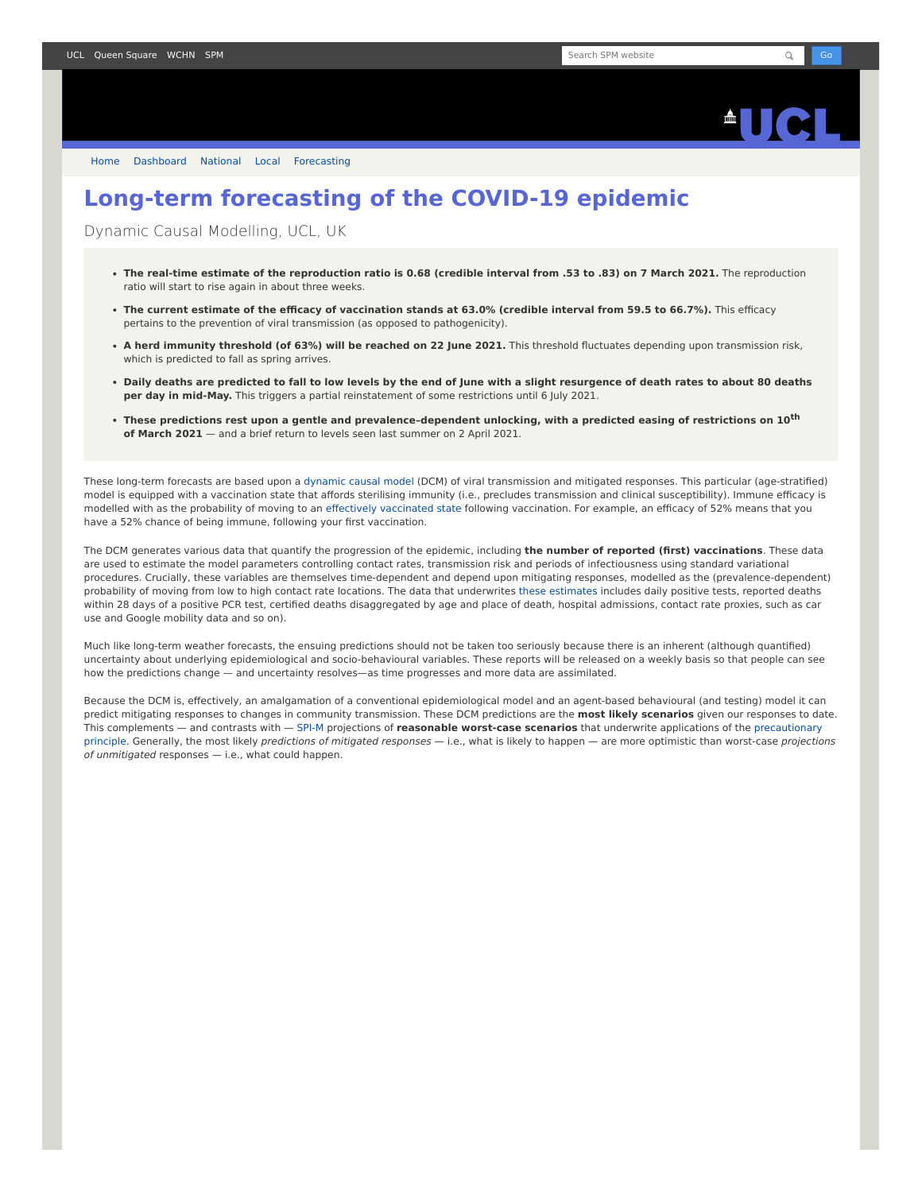

[Home](https://www.fil.ion.ucl.ac.uk/spm/covid-19/) [Dashboard](https://www.fil.ion.ucl.ac.uk/spm/covid-19/dashboard/) [National](https://www.fil.ion.ucl.ac.uk/spm/covid-19/dashboard/) [Local](https://www.fil.ion.ucl.ac.uk/spm/covid-19/dashboard/local/) [Forecasting](https://www.fil.ion.ucl.ac.uk/spm/covid-19/forecasting/)

## **Long-term forecasting of the COVID-19 epidemic**

Dynamic Causal Modelling, UCL, UK

- **The real-time estimate of the reproduction ratio is 0.68 (credible interval from .53 to .83) on 7 March 2021.** The reproduction ratio will start to rise again in about three weeks.
- **The current estimate of the efficacy of vaccination stands at 63.0% (credible interval from 59.5 to 66.7%).** This efficacy pertains to the prevention of viral transmission (as opposed to pathogenicity).
- **A herd immunity threshold (of 63%) will be reached on 22 June 2021.** This threshold fluctuates depending upon transmission risk, which is predicted to fall as spring arrives.
- **Daily deaths are predicted to fall to low levels by the end of June with a slight resurgence of death rates to about 80 deaths per day in mid-May.** This triggers a partial reinstatement of some restrictions until 6 July 2021.
- **These predictions rest upon a gentle and prevalence–dependent unlocking, with a predicted easing of restrictions on 10th of March 2021** — and a brief return to levels seen last summer on 2 April 2021.

These long-term forecasts are based upon a [dynamic causal model](https://www.fil.ion.ucl.ac.uk/spm/covid-19) (DCM) of viral transmission and mitigated responses. This particular (age-stratified) model is equipped with a vaccination state that affords sterilising immunity (i.e., precludes transmission and clinical susceptibility). Immune efficacy is modelled with as the probability of moving to an [effectively vaccinated state](https://www.medrxiv.org/content/10.1101/2021.01.10.21249520v1) following vaccination. For example, an efficacy of 52% means that you have a 52% chance of being immune, following your first vaccination.

The DCM generates various data that quantify the progression of the epidemic, including **the number of reported (first) vaccinations**. These data are used to estimate the model parameters controlling contact rates, transmission risk and periods of infectiousness using standard variational procedures. Crucially, these variables are themselves time-dependent and depend upon mitigating responses, modelled as the (prevalence-dependent) probability of moving from low to high contact rate locations. The data that underwrites [these estimates](https://www.fil.ion.ucl.ac.uk/spm/covid-19/dashboard/) includes daily positive tests, reported deaths within 28 days of a positive PCR test, certified deaths disaggregated by age and place of death, hospital admissions, contact rate proxies, such as car use and Google mobility data and so on).

Much like long-term weather forecasts, the ensuing predictions should not be taken too seriously because there is an inherent (although quantified) uncertainty about underlying epidemiological and socio-behavioural variables. These reports will be released on a weekly basis so that people can see how the predictions change — and uncertainty resolves—as time progresses and more data are assimilated.

Because the DCM is, effectively, an amalgamation of a conventional epidemiological model and an agent-based behavioural (and testing) model it can predict mitigating responses to changes in community transmission. These DCM predictions are the **most likely scenarios** given our responses to date. This complements — and contrasts with — [SPI-M](https://www.gov.uk/government/groups/scientific-pandemic-influenza-subgroup-on-modelling) projections of **reasonable worst-case scenarios** that underwrite applications of the precautionary principle. Generally, the most likely predictions of mitigated responses - i.e., what is likely to happen - are more optimistic than worst-case projections of unmitigated responses — i.e., what could happen.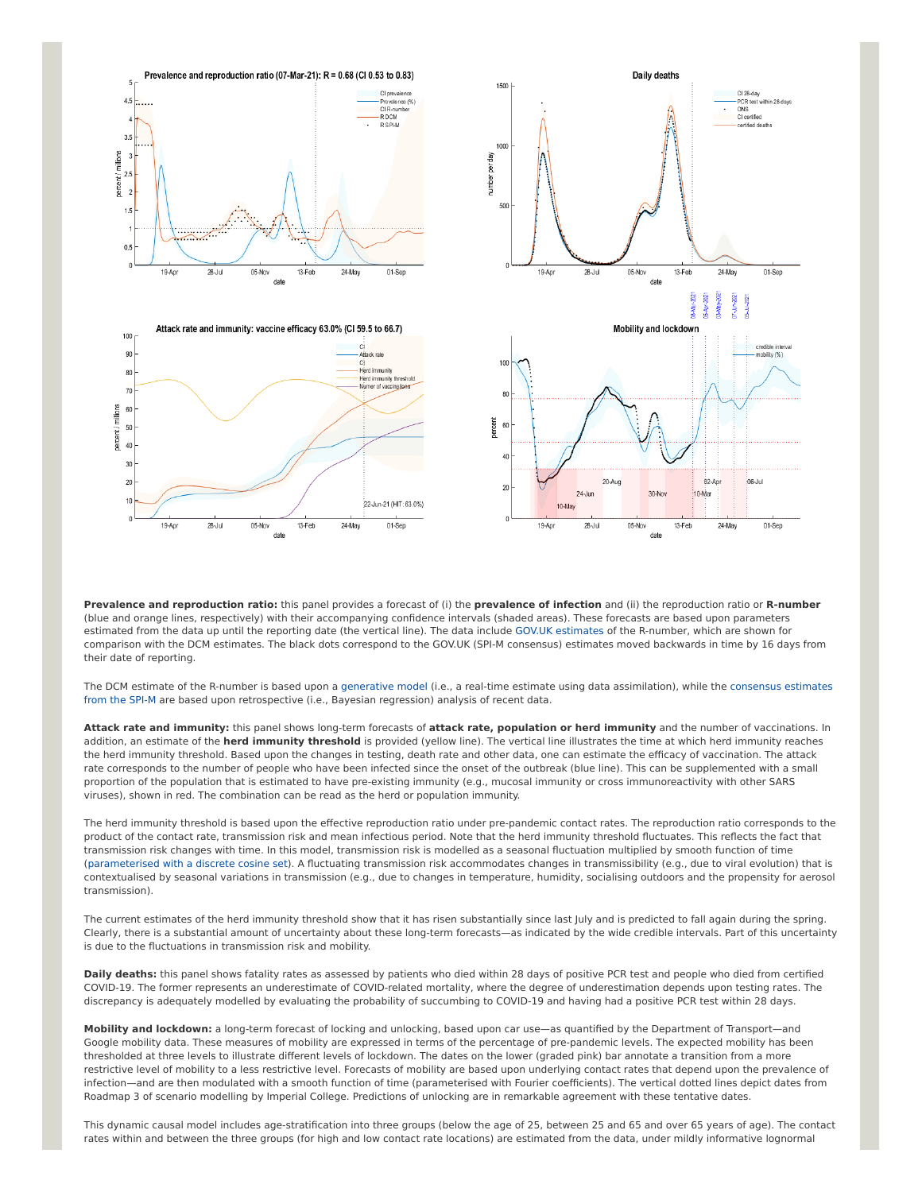

01-Sep

obility (%)

01-Sep

**Prevalence and reproduction ratio:** this panel provides a forecast of (i) the **prevalence of infection** and (ii) the reproduction ratio or **R-number** (blue and orange lines, respectively) with their accompanying confidence intervals (shaded areas). These forecasts are based upon parameters estimated from the data up until the reporting date (the vertical line). The data include [GOV.UK estimates](https://www.gov.uk/guidance/the-r-number-in-the-uk#latest-r-and-growth-rate) of the R-number, which are shown for comparison with the DCM estimates. The black dots correspond to the GOV.UK (SPI-M consensus) estimates moved backwards in time by 16 days from their date of reporting.

[The DCM estimate of the R-number is based upon a g](https://www.gov.uk/guidance/the-r-number-in-the-uk#contents)[enerative mode](https://en.wikipedia.org/wiki/Generative_model)[l \(i.e., a real-time estimate using data assimilation\), while the consensus estimates](https://www.gov.uk/guidance/the-r-number-in-the-uk#contents) from the SPI-M are based upon retrospective (i.e., Bayesian regression) analysis of recent data.

**Attack rate and immunity:** this panel shows long-term forecasts of **attack rate, population or herd immunity** and the number of vaccinations. In addition, an estimate of the **herd immunity threshold** is provided (yellow line). The vertical line illustrates the time at which herd immunity reaches the herd immunity threshold. Based upon the changes in testing, death rate and other data, one can estimate the efficacy of vaccination. The attack rate corresponds to the number of people who have been infected since the onset of the outbreak (blue line). This can be supplemented with a small proportion of the population that is estimated to have pre-existing immunity (e.g., mucosal immunity or cross immunoreactivity with other SARS viruses), shown in red. The combination can be read as the herd or population immunity.

The herd immunity threshold is based upon the effective reproduction ratio under pre-pandemic contact rates. The reproduction ratio corresponds to the product of the contact rate, transmission risk and mean infectious period. Note that the herd immunity threshold fluctuates. This reflects the fact that transmission risk changes with time. In this model, transmission risk is modelled as a seasonal fluctuation multiplied by smooth function of time ([parameterised with a discrete cosine set](https://www.medrxiv.org/content/10.1101/2021.01.10.21249520v1)). A fluctuating transmission risk accommodates changes in transmissibility (e.g., due to viral evolution) that is contextualised by seasonal variations in transmission (e.g., due to changes in temperature, humidity, socialising outdoors and the propensity for aerosol transmission).

The current estimates of the herd immunity threshold show that it has risen substantially since last July and is predicted to fall again during the spring. Clearly, there is a substantial amount of uncertainty about these long-term forecasts—as indicated by the wide credible intervals. Part of this uncertainty is due to the fluctuations in transmission risk and mobility.

**Daily deaths:** this panel shows fatality rates as assessed by patients who died within 28 days of positive PCR test and people who died from certified COVID-19. The former represents an underestimate of COVID-related mortality, where the degree of underestimation depends upon testing rates. The discrepancy is adequately modelled by evaluating the probability of succumbing to COVID-19 and having had a positive PCR test within 28 days.

**Mobility and lockdown:** a long-term forecast of locking and unlocking, based upon car use—as quantified by the Department of Transport—and Google mobility data. These measures of mobility are expressed in terms of the percentage of pre-pandemic levels. The expected mobility has been thresholded at three levels to illustrate different levels of lockdown. The dates on the lower (graded pink) bar annotate a transition from a more restrictive level of mobility to a less restrictive level. Forecasts of mobility are based upon underlying contact rates that depend upon the prevalence of infection—and are then modulated with a smooth function of time (parameterised with Fourier coefficients). The vertical dotted lines depict dates from Roadmap 3 of scenario modelling by Imperial College. Predictions of unlocking are in remarkable agreement with these tentative dates.

This dynamic causal model includes age-stratification into three groups (below the age of 25, between 25 and 65 and over 65 years of age). The contact rates within and between the three groups (for high and low contact rate locations) are estimated from the data, under mildly informative lognormal